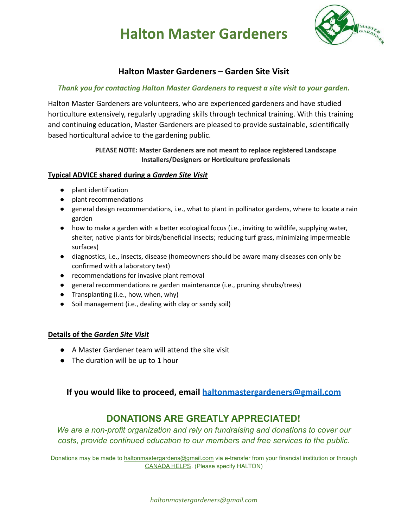# **Halton Master Gardeners**



### **Halton Master Gardeners – Garden Site Visit**

#### *Thank you for contacting Halton Master Gardeners to request a site visit to your garden.*

Halton Master Gardeners are volunteers, who are experienced gardeners and have studied horticulture extensively, regularly upgrading skills through technical training. With this training and continuing education, Master Gardeners are pleased to provide sustainable, scientifically based horticultural advice to the gardening public.

#### **PLEASE NOTE: Master Gardeners are not meant to replace registered Landscape Installers/Designers or Horticulture professionals**

#### **Typical ADVICE shared during a** *Garden Site Visit*

- plant identification
- plant recommendations
- general design recommendations, i.e., what to plant in pollinator gardens, where to locate a rain garden
- how to make a garden with a better ecological focus (i.e., inviting to wildlife, supplying water, shelter, native plants for birds/beneficial insects; reducing turf grass, minimizing impermeable surfaces)
- diagnostics, i.e., insects, disease (homeowners should be aware many diseases con only be confirmed with a laboratory test)
- recommendations for invasive plant removal
- general recommendations re garden maintenance (i.e., pruning shrubs/trees)
- Transplanting (i.e., how, when, why)
- Soil management (i.e., dealing with clay or sandy soil)

#### **Details of the** *Garden Site Visit*

- A Master Gardener team will attend the site visit
- The duration will be up to 1 hour

### **If you would like to proceed, email [haltonmastergardeners@gmail.com](https://d.docs.live.net/2d6d44e2330bd05c/Documents/haltonmastergardeners@gmail.com)**

## **DONATIONS ARE GREATLY APPRECIATED!**

*We are a non-profit organization and rely on fundraising and donations to cover our costs, provide continued education to our members and free services to the public.*

Donations may be made to [haltonmastergardens@gmail.com](mailto:haltonmastergardens@gmail.com) via e-transfer from your financial institution or through [CANADA HELPS](https://www.canadahelps.org/en/charities/master-gardeners-of-ontario-inc/). (Please specify HALTON)